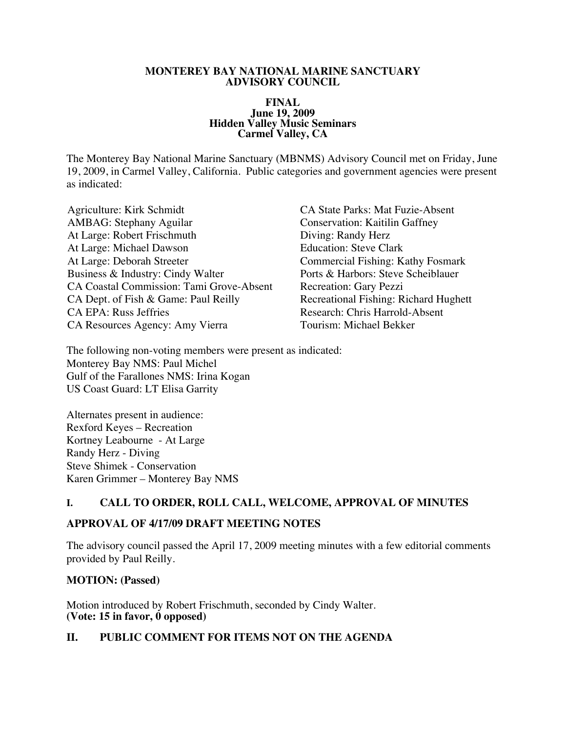#### **MONTEREY BAY NATIONAL MARINE SANCTUARY ADVISORY COUNCIL**

#### **FINAL June 19, 2009 Hidden Valley Music Seminars Carmel Valley, CA**

The Monterey Bay National Marine Sanctuary (MBNMS) Advisory Council met on Friday, June 19, 2009, in Carmel Valley, California. Public categories and government agencies were present as indicated:

- Agriculture: Kirk Schmidt CA State Parks: Mat Fuzie-Absent AMBAG: Stephany Aguilar Conservation: Kaitilin Gaffney At Large: Robert Frischmuth Diving: Randy Herz At Large: Michael Dawson Education: Steve Clark Business & Industry: Cindy Walter Ports & Harbors: Steve Scheiblauer CA Coastal Commission: Tami Grove-Absent Recreation: Gary Pezzi CA Dept. of Fish & Game: Paul Reilly Recreational Fishing: Richard Hughett CA EPA: Russ Jeffries The Research: Chris Harrold-Absent CA Resources Agency: Amy Vierra Tourism: Michael Bekker
- Commercial Fishing: Kathy Fosmark

The following non-voting members were present as indicated: Monterey Bay NMS: Paul Michel Gulf of the Farallones NMS: Irina Kogan US Coast Guard: LT Elisa Garrity

Alternates present in audience: Rexford Keyes – Recreation Kortney Leabourne - At Large Randy Herz - Diving Steve Shimek - Conservation Karen Grimmer – Monterey Bay NMS

### **I. CALL TO ORDER, ROLL CALL, WELCOME, APPROVAL OF MINUTES**

### **APPROVAL OF 4/17/09 DRAFT MEETING NOTES**

The advisory council passed the April 17, 2009 meeting minutes with a few editorial comments provided by Paul Reilly.

#### **MOTION: (Passed)**

Motion introduced by Robert Frischmuth, seconded by Cindy Walter. **(Vote: 15 in favor, 0 opposed)**

### **II. PUBLIC COMMENT FOR ITEMS NOT ON THE AGENDA**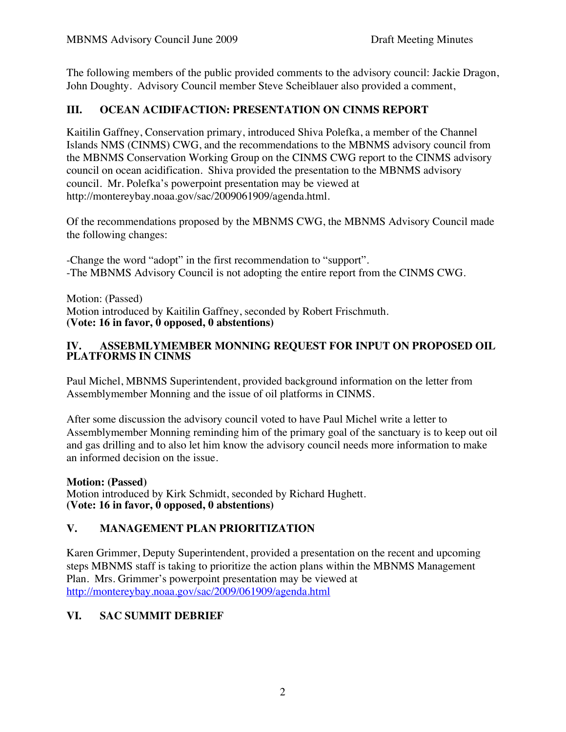The following members of the public provided comments to the advisory council: Jackie Dragon, John Doughty. Advisory Council member Steve Scheiblauer also provided a comment,

# **III. OCEAN ACIDIFACTION: PRESENTATION ON CINMS REPORT**

Kaitilin Gaffney, Conservation primary, introduced Shiva Polefka, a member of the Channel Islands NMS (CINMS) CWG, and the recommendations to the MBNMS advisory council from the MBNMS Conservation Working Group on the CINMS CWG report to the CINMS advisory council on ocean acidification. Shiva provided the presentation to the MBNMS advisory council. Mr. Polefka's powerpoint presentation may be viewed at http://montereybay.noaa.gov/sac/2009061909/agenda.html.

Of the recommendations proposed by the MBNMS CWG, the MBNMS Advisory Council made the following changes:

-Change the word "adopt" in the first recommendation to "support". -The MBNMS Advisory Council is not adopting the entire report from the CINMS CWG.

Motion: (Passed) Motion introduced by Kaitilin Gaffney, seconded by Robert Frischmuth. **(Vote: 16 in favor, 0 opposed, 0 abstentions)**

### **IV. ASSEBMLYMEMBER MONNING REQUEST FOR INPUT ON PROPOSED OIL PLATFORMS IN CINMS**

Paul Michel, MBNMS Superintendent, provided background information on the letter from Assemblymember Monning and the issue of oil platforms in CINMS.

After some discussion the advisory council voted to have Paul Michel write a letter to Assemblymember Monning reminding him of the primary goal of the sanctuary is to keep out oil and gas drilling and to also let him know the advisory council needs more information to make an informed decision on the issue.

**Motion: (Passed)** Motion introduced by Kirk Schmidt, seconded by Richard Hughett. **(Vote: 16 in favor, 0 opposed, 0 abstentions)**

# **V. MANAGEMENT PLAN PRIORITIZATION**

Karen Grimmer, Deputy Superintendent, provided a presentation on the recent and upcoming steps MBNMS staff is taking to prioritize the action plans within the MBNMS Management Plan. Mrs. Grimmer's powerpoint presentation may be viewed at http://montereybay.noaa.gov/sac/2009/061909/agenda.html

# **VI. SAC SUMMIT DEBRIEF**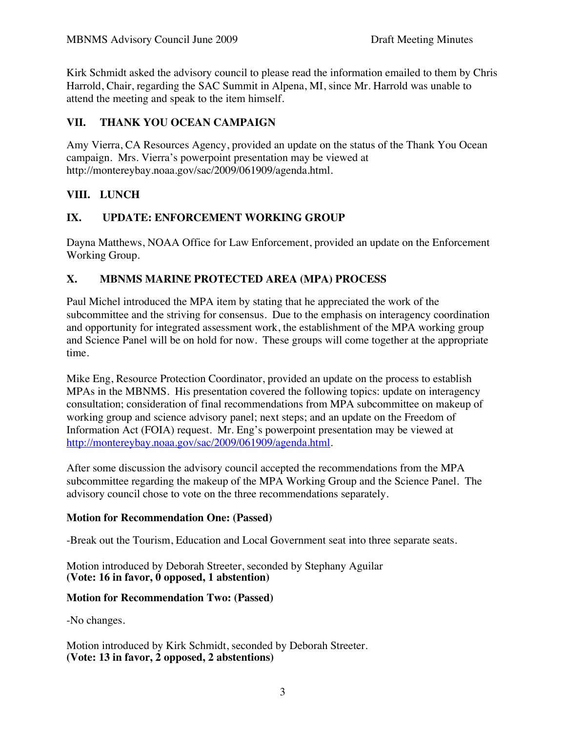Kirk Schmidt asked the advisory council to please read the information emailed to them by Chris Harrold, Chair, regarding the SAC Summit in Alpena, MI, since Mr. Harrold was unable to attend the meeting and speak to the item himself.

## **VII. THANK YOU OCEAN CAMPAIGN**

Amy Vierra, CA Resources Agency, provided an update on the status of the Thank You Ocean campaign. Mrs. Vierra's powerpoint presentation may be viewed at http://montereybay.noaa.gov/sac/2009/061909/agenda.html.

## **VIII. LUNCH**

### **IX. UPDATE: ENFORCEMENT WORKING GROUP**

Dayna Matthews, NOAA Office for Law Enforcement, provided an update on the Enforcement Working Group.

## **X. MBNMS MARINE PROTECTED AREA (MPA) PROCESS**

Paul Michel introduced the MPA item by stating that he appreciated the work of the subcommittee and the striving for consensus. Due to the emphasis on interagency coordination and opportunity for integrated assessment work, the establishment of the MPA working group and Science Panel will be on hold for now. These groups will come together at the appropriate time.

Mike Eng, Resource Protection Coordinator, provided an update on the process to establish MPAs in the MBNMS. His presentation covered the following topics: update on interagency consultation; consideration of final recommendations from MPA subcommittee on makeup of working group and science advisory panel; next steps; and an update on the Freedom of Information Act (FOIA) request. Mr. Eng's powerpoint presentation may be viewed at http://montereybay.noaa.gov/sac/2009/061909/agenda.html.

After some discussion the advisory council accepted the recommendations from the MPA subcommittee regarding the makeup of the MPA Working Group and the Science Panel. The advisory council chose to vote on the three recommendations separately.

### **Motion for Recommendation One: (Passed)**

-Break out the Tourism, Education and Local Government seat into three separate seats.

Motion introduced by Deborah Streeter, seconded by Stephany Aguilar **(Vote: 16 in favor, 0 opposed, 1 abstention)**

### **Motion for Recommendation Two: (Passed)**

-No changes.

Motion introduced by Kirk Schmidt, seconded by Deborah Streeter. **(Vote: 13 in favor, 2 opposed, 2 abstentions)**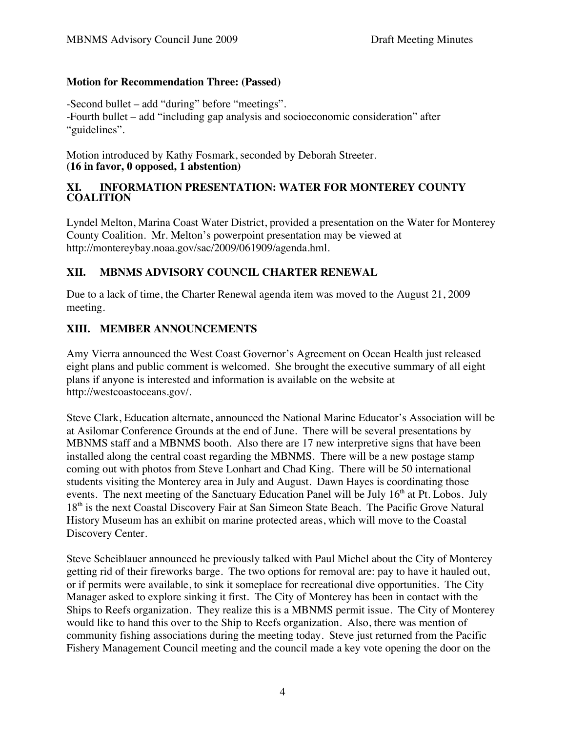### **Motion for Recommendation Three: (Passed)**

-Second bullet – add "during" before "meetings".

-Fourth bullet – add "including gap analysis and socioeconomic consideration" after "guidelines".

Motion introduced by Kathy Fosmark, seconded by Deborah Streeter. **(16 in favor, 0 opposed, 1 abstention)**

#### **XI. INFORMATION PRESENTATION: WATER FOR MONTEREY COUNTY COALITION**

Lyndel Melton, Marina Coast Water District, provided a presentation on the Water for Monterey County Coalition. Mr. Melton's powerpoint presentation may be viewed at http://montereybay.noaa.gov/sac/2009/061909/agenda.hml.

# **XII. MBNMS ADVISORY COUNCIL CHARTER RENEWAL**

Due to a lack of time, the Charter Renewal agenda item was moved to the August 21, 2009 meeting.

# **XIII. MEMBER ANNOUNCEMENTS**

Amy Vierra announced the West Coast Governor's Agreement on Ocean Health just released eight plans and public comment is welcomed. She brought the executive summary of all eight plans if anyone is interested and information is available on the website at http://westcoastoceans.gov/.

Steve Clark, Education alternate, announced the National Marine Educator's Association will be at Asilomar Conference Grounds at the end of June. There will be several presentations by MBNMS staff and a MBNMS booth. Also there are 17 new interpretive signs that have been installed along the central coast regarding the MBNMS. There will be a new postage stamp coming out with photos from Steve Lonhart and Chad King. There will be 50 international students visiting the Monterey area in July and August. Dawn Hayes is coordinating those events. The next meeting of the Sanctuary Education Panel will be July  $16<sup>th</sup>$  at Pt. Lobos. July 18<sup>th</sup> is the next Coastal Discovery Fair at San Simeon State Beach. The Pacific Grove Natural History Museum has an exhibit on marine protected areas, which will move to the Coastal Discovery Center.

Steve Scheiblauer announced he previously talked with Paul Michel about the City of Monterey getting rid of their fireworks barge. The two options for removal are: pay to have it hauled out, or if permits were available, to sink it someplace for recreational dive opportunities. The City Manager asked to explore sinking it first. The City of Monterey has been in contact with the Ships to Reefs organization. They realize this is a MBNMS permit issue. The City of Monterey would like to hand this over to the Ship to Reefs organization. Also, there was mention of community fishing associations during the meeting today. Steve just returned from the Pacific Fishery Management Council meeting and the council made a key vote opening the door on the